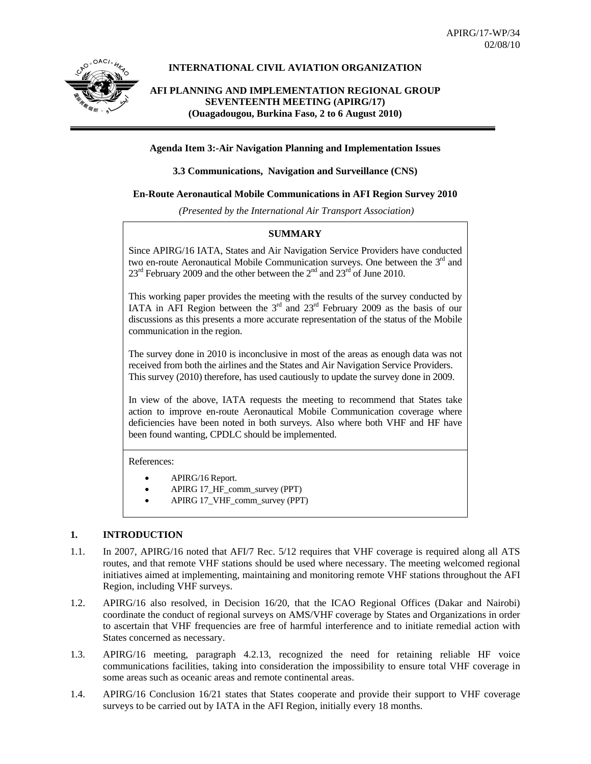

## **INTERNATIONAL CIVIL AVIATION ORGANIZATION**

# **AFI PLANNING AND IMPLEMENTATION REGIONAL GROUP SEVENTEENTH MEETING (APIRG/17) (Ouagadougou, Burkina Faso, 2 to 6 August 2010)**

### **Agenda Item 3:-Air Navigation Planning and Implementation Issues**

### **3.3 Communications, Navigation and Surveillance (CNS)**

## **En-Route Aeronautical Mobile Communications in AFI Region Survey 2010**

 *(Presented by the International Air Transport Association)* 

# **SUMMARY**

Since APIRG/16 IATA, States and Air Navigation Service Providers have conducted two en-route Aeronautical Mobile Communication surveys. One between the  $3<sup>rd</sup>$  and  $23^{\text{rd}}$  February 2009 and the other between the  $2^{\text{nd}}$  and  $23^{\text{rd}}$  of June 2010.

This working paper provides the meeting with the results of the survey conducted by IATA in AFI Region between the  $3<sup>rd</sup>$  and  $23<sup>rd</sup>$  February 2009 as the basis of our discussions as this presents a more accurate representation of the status of the Mobile communication in the region.

The survey done in 2010 is inconclusive in most of the areas as enough data was not received from both the airlines and the States and Air Navigation Service Providers. This survey (2010) therefore, has used cautiously to update the survey done in 2009.

In view of the above, IATA requests the meeting to recommend that States take action to improve en-route Aeronautical Mobile Communication coverage where deficiencies have been noted in both surveys. Also where both VHF and HF have been found wanting, CPDLC should be implemented.

#### References:

- APIRG/16 Report.
- APIRG 17\_HF\_comm\_survey (PPT)
- APIRG 17\_VHF\_comm\_survey (PPT)

### **1. INTRODUCTION**

- 1.1. In 2007, APIRG/16 noted that AFI/7 Rec. 5/12 requires that VHF coverage is required along all ATS routes, and that remote VHF stations should be used where necessary. The meeting welcomed regional initiatives aimed at implementing, maintaining and monitoring remote VHF stations throughout the AFI Region, including VHF surveys.
- 1.2. APIRG/16 also resolved, in Decision 16/20, that the ICAO Regional Offices (Dakar and Nairobi) coordinate the conduct of regional surveys on AMS/VHF coverage by States and Organizations in order to ascertain that VHF frequencies are free of harmful interference and to initiate remedial action with States concerned as necessary.
- 1.3. APIRG/16 meeting, paragraph 4.2.13, recognized the need for retaining reliable HF voice communications facilities, taking into consideration the impossibility to ensure total VHF coverage in some areas such as oceanic areas and remote continental areas.
- 1.4. APIRG/16 Conclusion 16/21 states that States cooperate and provide their support to VHF coverage surveys to be carried out by IATA in the AFI Region, initially every 18 months.